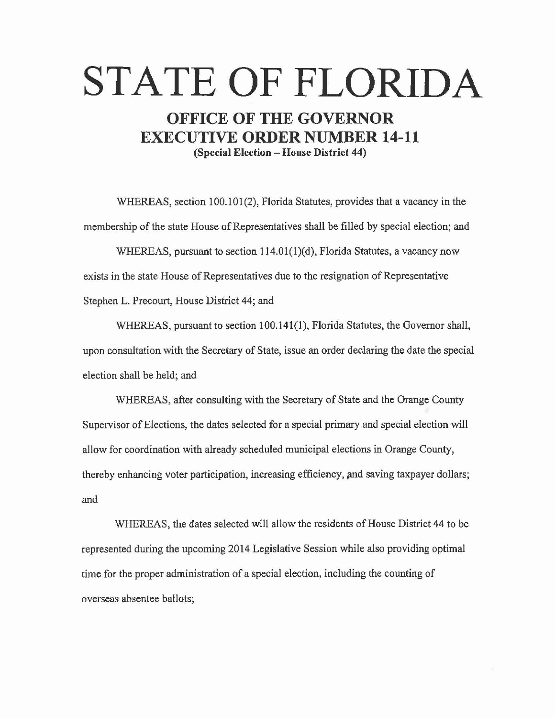# **STATE OF FLORIDA**

## **OFFICE OF THE GOVERNOR EXECUTIVE ORDER NUMBER 14-11 (Special Election- House District 44)**

WHEREAS, section 100.101(2), Florida Statutes, provides that a vacancy in the membership of the state House of Representatives shall be filled by special election; and

WHEREAS, pursuant to section 114.01(1)(d), Florida Statutes, a vacancy now exists in the state House of Representatives due to the resignation of Representative Stephen L. Precourt, House District 44; and

WHEREAS, pursuant to section 100.141(1), Florida Statutes, the Governor shall, upon consultation with the Secretary of State, issue an order declaring the date the special election shall be held; and

WHEREAS, after consulting with the Secretary of State and the Orange County Supervisor of Elections, the dates selected for a special primary and special election will allow for coordination with already scheduled municipal elections in Orange County, thereby enhancing voter participation, increasing efficiency, and saving taxpayer dollars; and

WHEREAS, the dates selected will allow the residents of House District 44 to be represented during the upcoming 2014 Legislative Session while also providing optimal time for the proper administration of a special election, including the counting of overseas absentee ballots;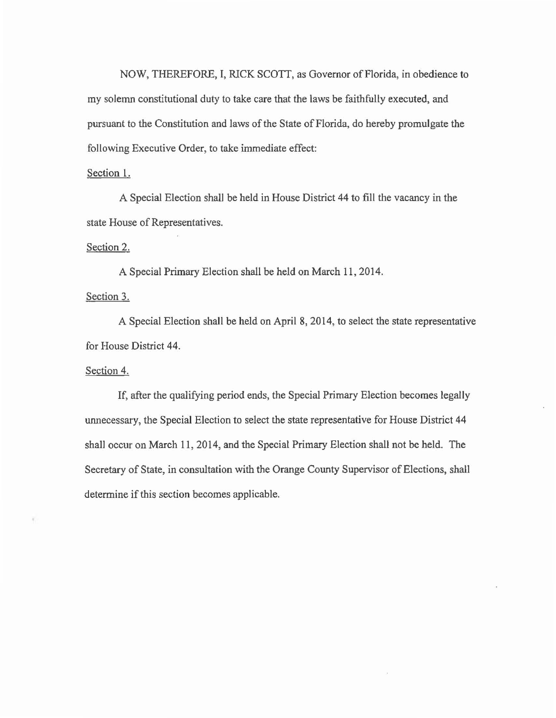NOW, THEREFORE, I, RlCK *SCOTT,* as Governor of Florida, in obedience to my solemn constitutional duty to take care that the laws be faithfully executed, and pursuant to the Constitution and laws of the State of Florida, do hereby promulgate the following Executive Order, to take immediate effect:

#### Section 1.

A Special Election shall be held in House District 44 to fill the vacancy in the state House of Representatives.

#### Section 2.

A Special Primary Election shall be held on March 11, 2014.

### Section 3.

A Special Election shall be held on April 8, 2014, to select the state representative for House District 44.

#### Section 4.

If, after the qualifying period ends, the Special Primary Election becomes legally unnecessary, the Special Election to select the state representative for House District 44 shall occur on March 11, 2014, and the Special Primary Election shall not be held. The Secretary of State, in consultation with the Orange County Supervisor of Elections, shall determine if this section becomes applicable.